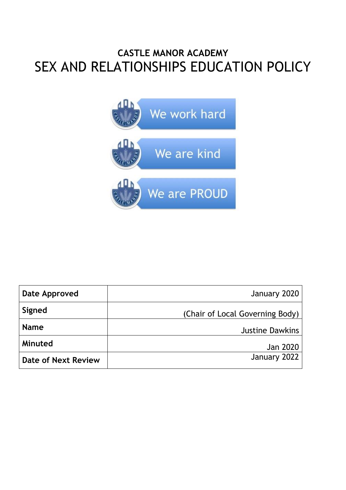### **CASTLE MANOR ACADEMY** SEX AND RELATIONSHIPS EDUCATION POLICY



| Date Approved              | January 2020                    |
|----------------------------|---------------------------------|
| Signed                     | (Chair of Local Governing Body) |
| <b>Name</b>                | <b>Justine Dawkins</b>          |
| Minuted                    | Jan 2020                        |
| <b>Date of Next Review</b> | January 2022                    |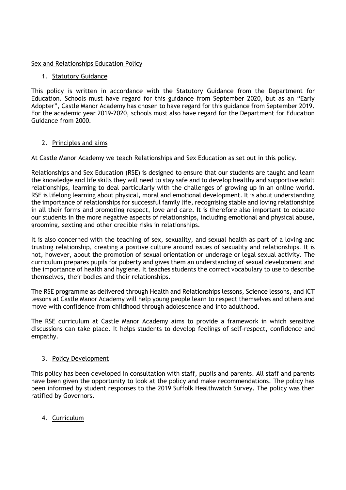#### Sex and Relationships Education Policy

#### 1. Statutory Guidance

This policy is written in accordance with the Statutory Guidance from the Department for Education. Schools must have regard for this guidance from September 2020, but as an "Early Adopter", Castle Manor Academy has chosen to have regard for this guidance from September 2019. For the academic year 2019-2020, schools must also have regard for the Department for Education Guidance from 2000.

#### 2. Principles and aims

At Castle Manor Academy we teach Relationships and Sex Education as set out in this policy.

Relationships and Sex Education (RSE) is designed to ensure that our students are taught and learn the knowledge and life skills they will need to stay safe and to develop healthy and supportive adult relationships, learning to deal particularly with the challenges of growing up in an online world. RSE is lifelong learning about physical, moral and emotional development. It is about understanding the importance of relationships for successful family life, recognising stable and loving relationships in all their forms and promoting respect, love and care. It is therefore also important to educate our students in the more negative aspects of relationships, including emotional and physical abuse, grooming, sexting and other credible risks in relationships.

It is also concerned with the teaching of sex, sexuality, and sexual health as part of a loving and trusting relationship, creating a positive culture around issues of sexuality and relationships. It is not, however, about the promotion of sexual orientation or underage or legal sexual activity. The curriculum prepares pupils for puberty and gives them an understanding of sexual development and the importance of health and hygiene. It teaches students the correct vocabulary to use to describe themselves, their bodies and their relationships.

The RSE programme as delivered through Health and Relationships lessons, Science lessons, and ICT lessons at Castle Manor Academy will help young people learn to respect themselves and others and move with confidence from childhood through adolescence and into adulthood.

The RSE curriculum at Castle Manor Academy aims to provide a framework in which sensitive discussions can take place. It helps students to develop feelings of self-respect, confidence and empathy.

#### 3. Policy Development

This policy has been developed in consultation with staff, pupils and parents. All staff and parents have been given the opportunity to look at the policy and make recommendations. The policy has been informed by student responses to the 2019 Suffolk Healthwatch Survey. The policy was then ratified by Governors.

### 4. Curriculum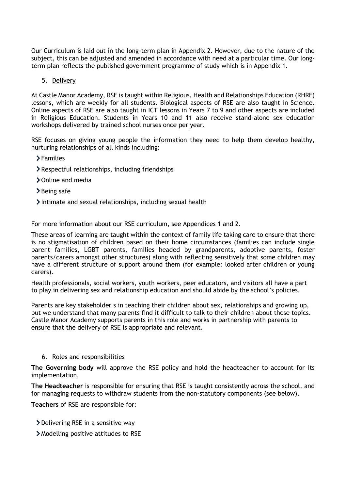Our Curriculum is laid out in the long-term plan in Appendix 2. However, due to the nature of the subject, this can be adjusted and amended in accordance with need at a particular time. Our longterm plan reflects the published government programme of study which is in Appendix 1.

#### 5. Delivery

At Castle Manor Academy, RSE is taught within Religious, Health and Relationships Education (RHRE) lessons, which are weekly for all students. Biological aspects of RSE are also taught in Science. Online aspects of RSE are also taught in ICT lessons in Years 7 to 9 and other aspects are included in Religious Education. Students in Years 10 and 11 also receive stand-alone sex education workshops delivered by trained school nurses once per year.

RSE focuses on giving young people the information they need to help them develop healthy, nurturing relationships of all kinds including:

Families

- Respectful relationships, including friendships
- > Online and media
- > Being safe
- Intimate and sexual relationships, including sexual health

For more information about our RSE curriculum, see Appendices 1 and 2.

These areas of learning are taught within the context of family life taking care to ensure that there is no stigmatisation of children based on their home circumstances (families can include single parent families, LGBT parents, families headed by grandparents, adoptive parents, foster parents/carers amongst other structures) along with reflecting sensitively that some children may have a different structure of support around them (for example: looked after children or young carers).

Health professionals, social workers, youth workers, peer educators, and visitors all have a part to play in delivering sex and relationship education and should abide by the school's policies.

Parents are key stakeholder s in teaching their children about sex, relationships and growing up, but we understand that many parents find it difficult to talk to their children about these topics. Castle Manor Academy supports parents in this role and works in partnership with parents to ensure that the delivery of RSE is appropriate and relevant.

#### 6. Roles and responsibilities

**The Governing body** will approve the RSE policy and hold the headteacher to account for its implementation.

**The Headteacher** is responsible for ensuring that RSE is taught consistently across the school, and for managing requests to withdraw students from the non-statutory components (see below).

**Teachers** of RSE are responsible for:

- Delivering RSE in a sensitive way
- Modelling positive attitudes to RSE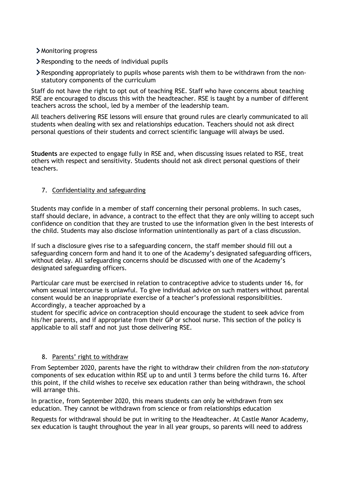- Monitoring progress
- Responding to the needs of individual pupils
- Responding appropriately to pupils whose parents wish them to be withdrawn from the nonstatutory components of the curriculum

Staff do not have the right to opt out of teaching RSE. Staff who have concerns about teaching RSE are encouraged to discuss this with the headteacher. RSE is taught by a number of different teachers across the school, led by a member of the leadership team.

All teachers delivering RSE lessons will ensure that ground rules are clearly communicated to all students when dealing with sex and relationships education. Teachers should not ask direct personal questions of their students and correct scientific language will always be used.

**Students** are expected to engage fully in RSE and, when discussing issues related to RSE, treat others with respect and sensitivity. Students should not ask direct personal questions of their teachers.

#### 7. Confidentiality and safeguarding

Students may confide in a member of staff concerning their personal problems. In such cases, staff should declare, in advance, a contract to the effect that they are only willing to accept such confidence on condition that they are trusted to use the information given in the best interests of the child. Students may also disclose information unintentionally as part of a class discussion.

If such a disclosure gives rise to a safeguarding concern, the staff member should fill out a safeguarding concern form and hand it to one of the Academy's designated safeguarding officers, without delay. All safeguarding concerns should be discussed with one of the Academy's designated safeguarding officers.

Particular care must be exercised in relation to contraceptive advice to students under 16, for whom sexual intercourse is unlawful. To give individual advice on such matters without parental consent would be an inappropriate exercise of a teacher's professional responsibilities. Accordingly, a teacher approached by a

student for specific advice on contraception should encourage the student to seek advice from his/her parents, and if appropriate from their GP or school nurse. This section of the policy is applicable to all staff and not just those delivering RSE.

#### 8. Parents' right to withdraw

From September 2020, parents have the right to withdraw their children from the *non-statutory* components of sex education within RSE up to and until 3 terms before the child turns 16. After this point, if the child wishes to receive sex education rather than being withdrawn, the school will arrange this.

In practice, from September 2020, this means students can only be withdrawn from sex education. They cannot be withdrawn from science or from relationships education

Requests for withdrawal should be put in writing to the Headteacher. At Castle Manor Academy, sex education is taught throughout the year in all year groups, so parents will need to address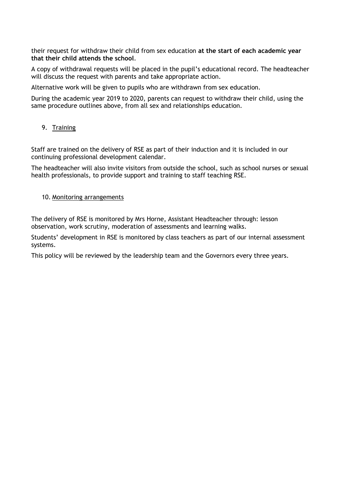their request for withdraw their child from sex education **at the start of each academic year that their child attends the school**.

A copy of withdrawal requests will be placed in the pupil's educational record. The headteacher will discuss the request with parents and take appropriate action.

Alternative work will be given to pupils who are withdrawn from sex education.

During the academic year 2019 to 2020, parents can request to withdraw their child, using the same procedure outlines above, from all sex and relationships education.

#### 9. Training

Staff are trained on the delivery of RSE as part of their induction and it is included in our continuing professional development calendar.

The headteacher will also invite visitors from outside the school, such as school nurses or sexual health professionals, to provide support and training to staff teaching RSE.

#### 10. Monitoring arrangements

The delivery of RSE is monitored by Mrs Horne, Assistant Headteacher through: lesson observation, work scrutiny, moderation of assessments and learning walks.

Students' development in RSE is monitored by class teachers as part of our internal assessment systems.

This policy will be reviewed by the leadership team and the Governors every three years.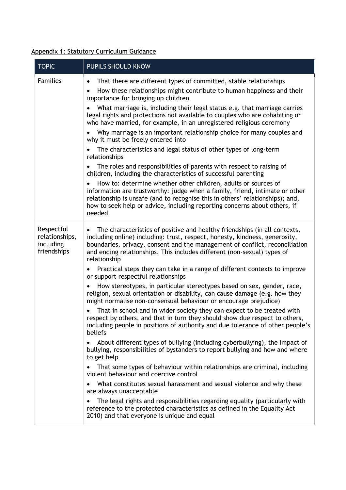### Appendix 1: Statutory Curriculum Guidance

| <b>TOPIC</b>                                             | PUPILS SHOULD KNOW                                                                                                                                                                                                                                                                                                                                                                                                                                                                                                                                                                                                                                                                                                                                                                                                                                  |
|----------------------------------------------------------|-----------------------------------------------------------------------------------------------------------------------------------------------------------------------------------------------------------------------------------------------------------------------------------------------------------------------------------------------------------------------------------------------------------------------------------------------------------------------------------------------------------------------------------------------------------------------------------------------------------------------------------------------------------------------------------------------------------------------------------------------------------------------------------------------------------------------------------------------------|
| <b>Families</b>                                          | That there are different types of committed, stable relationships<br>$\bullet$<br>How these relationships might contribute to human happiness and their<br>importance for bringing up children<br>What marriage is, including their legal status e.g. that marriage carries<br>legal rights and protections not available to couples who are cohabiting or<br>who have married, for example, in an unregistered religious ceremony<br>Why marriage is an important relationship choice for many couples and<br>why it must be freely entered into<br>The characteristics and legal status of other types of long-term<br>relationships<br>The roles and responsibilities of parents with respect to raising of<br>children, including the characteristics of successful parenting<br>How to: determine whether other children, adults or sources of |
|                                                          | information are trustworthy: judge when a family, friend, intimate or other<br>relationship is unsafe (and to recognise this in others' relationships); and,<br>how to seek help or advice, including reporting concerns about others, if<br>needed                                                                                                                                                                                                                                                                                                                                                                                                                                                                                                                                                                                                 |
| Respectful<br>relationships,<br>including<br>friendships | The characteristics of positive and healthy friendships (in all contexts,<br>including online) including: trust, respect, honesty, kindness, generosity,<br>boundaries, privacy, consent and the management of conflict, reconciliation<br>and ending relationships. This includes different (non-sexual) types of<br>relationship<br>Practical steps they can take in a range of different contexts to improve<br>or support respectful relationships                                                                                                                                                                                                                                                                                                                                                                                              |
|                                                          | How stereotypes, in particular stereotypes based on sex, gender, race,<br>religion, sexual orientation or disability, can cause damage (e.g. how they<br>might normalise non-consensual behaviour or encourage prejudice)<br>That in school and in wider society they can expect to be treated with<br>respect by others, and that in turn they should show due respect to others,<br>including people in positions of authority and due tolerance of other people's<br>beliefs                                                                                                                                                                                                                                                                                                                                                                     |
|                                                          | About different types of bullying (including cyberbullying), the impact of<br>bullying, responsibilities of bystanders to report bullying and how and where<br>to get help                                                                                                                                                                                                                                                                                                                                                                                                                                                                                                                                                                                                                                                                          |
|                                                          | That some types of behaviour within relationships are criminal, including<br>violent behaviour and coercive control                                                                                                                                                                                                                                                                                                                                                                                                                                                                                                                                                                                                                                                                                                                                 |
|                                                          | What constitutes sexual harassment and sexual violence and why these<br>are always unacceptable                                                                                                                                                                                                                                                                                                                                                                                                                                                                                                                                                                                                                                                                                                                                                     |
|                                                          | The legal rights and responsibilities regarding equality (particularly with<br>reference to the protected characteristics as defined in the Equality Act<br>2010) and that everyone is unique and equal                                                                                                                                                                                                                                                                                                                                                                                                                                                                                                                                                                                                                                             |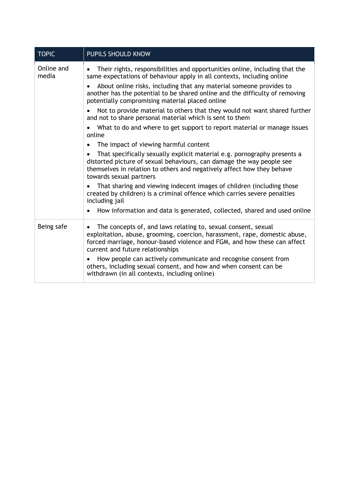| <b>TOPIC</b>        | PUPILS SHOULD KNOW                                                                                                                                                                                                                                                       |
|---------------------|--------------------------------------------------------------------------------------------------------------------------------------------------------------------------------------------------------------------------------------------------------------------------|
| Online and<br>media | Their rights, responsibilities and opportunities online, including that the<br>$\bullet$<br>same expectations of behaviour apply in all contexts, including online                                                                                                       |
|                     | About online risks, including that any material someone provides to<br>$\bullet$<br>another has the potential to be shared online and the difficulty of removing<br>potentially compromising material placed online                                                      |
|                     | Not to provide material to others that they would not want shared further<br>and not to share personal material which is sent to them                                                                                                                                    |
|                     | What to do and where to get support to report material or manage issues<br>online                                                                                                                                                                                        |
|                     | The impact of viewing harmful content<br>$\bullet$                                                                                                                                                                                                                       |
|                     | That specifically sexually explicit material e.g. pornography presents a<br>$\bullet$<br>distorted picture of sexual behaviours, can damage the way people see<br>themselves in relation to others and negatively affect how they behave<br>towards sexual partners      |
|                     | That sharing and viewing indecent images of children (including those<br>$\bullet$<br>created by children) is a criminal offence which carries severe penalties<br>including jail                                                                                        |
|                     | How information and data is generated, collected, shared and used online<br>$\bullet$                                                                                                                                                                                    |
| Being safe          | The concepts of, and laws relating to, sexual consent, sexual<br>$\bullet$<br>exploitation, abuse, grooming, coercion, harassment, rape, domestic abuse,<br>forced marriage, honour-based violence and FGM, and how these can affect<br>current and future relationships |
|                     | How people can actively communicate and recognise consent from<br>others, including sexual consent, and how and when consent can be<br>withdrawn (in all contexts, including online)                                                                                     |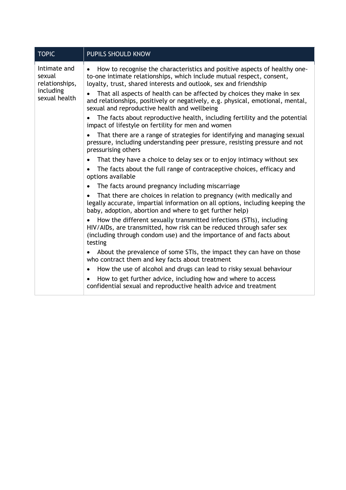| <b>TOPIC</b>                             | PUPILS SHOULD KNOW                                                                                                                                                                                                             |  |  |  |  |
|------------------------------------------|--------------------------------------------------------------------------------------------------------------------------------------------------------------------------------------------------------------------------------|--|--|--|--|
| Intimate and<br>sexual<br>relationships, | How to recognise the characteristics and positive aspects of healthy one-<br>to-one intimate relationships, which include mutual respect, consent,<br>loyalty, trust, shared interests and outlook, sex and friendship         |  |  |  |  |
| including<br>sexual health               | That all aspects of health can be affected by choices they make in sex<br>$\bullet$<br>and relationships, positively or negatively, e.g. physical, emotional, mental,<br>sexual and reproductive health and wellbeing          |  |  |  |  |
|                                          | The facts about reproductive health, including fertility and the potential<br>impact of lifestyle on fertility for men and women                                                                                               |  |  |  |  |
|                                          | That there are a range of strategies for identifying and managing sexual<br>pressure, including understanding peer pressure, resisting pressure and not<br>pressurising others                                                 |  |  |  |  |
|                                          | That they have a choice to delay sex or to enjoy intimacy without sex<br>$\bullet$                                                                                                                                             |  |  |  |  |
|                                          | The facts about the full range of contraceptive choices, efficacy and<br>$\bullet$<br>options available                                                                                                                        |  |  |  |  |
|                                          | The facts around pregnancy including miscarriage<br>$\bullet$                                                                                                                                                                  |  |  |  |  |
|                                          | That there are choices in relation to pregnancy (with medically and<br>legally accurate, impartial information on all options, including keeping the<br>baby, adoption, abortion and where to get further help)                |  |  |  |  |
|                                          | How the different sexually transmitted infections (STIs), including<br>HIV/AIDs, are transmitted, how risk can be reduced through safer sex<br>(including through condom use) and the importance of and facts about<br>testing |  |  |  |  |
|                                          | About the prevalence of some STIs, the impact they can have on those<br>$\bullet$<br>who contract them and key facts about treatment                                                                                           |  |  |  |  |
|                                          | How the use of alcohol and drugs can lead to risky sexual behaviour<br>$\bullet$                                                                                                                                               |  |  |  |  |
|                                          | How to get further advice, including how and where to access<br>$\bullet$<br>confidential sexual and reproductive health advice and treatment                                                                                  |  |  |  |  |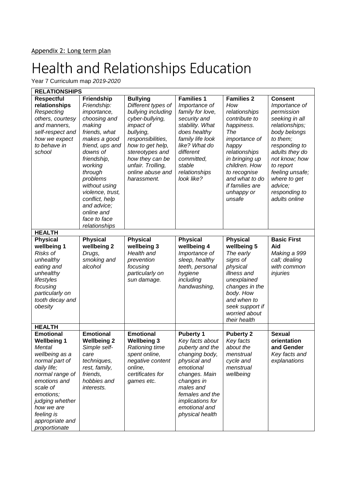Year 7 Curriculum map *2019-2020*

| <b>RELATIONSHIPS</b>                                                                                                                                                                                                                               |                                                                                                                                                                                                                                                                                                                 |                                                                                                                                                                                                                                                 |                                                                                                                                                                                                                              |                                                                                                                                                                                                                                                   |                                                                                                                                                                                                                                                                |
|----------------------------------------------------------------------------------------------------------------------------------------------------------------------------------------------------------------------------------------------------|-----------------------------------------------------------------------------------------------------------------------------------------------------------------------------------------------------------------------------------------------------------------------------------------------------------------|-------------------------------------------------------------------------------------------------------------------------------------------------------------------------------------------------------------------------------------------------|------------------------------------------------------------------------------------------------------------------------------------------------------------------------------------------------------------------------------|---------------------------------------------------------------------------------------------------------------------------------------------------------------------------------------------------------------------------------------------------|----------------------------------------------------------------------------------------------------------------------------------------------------------------------------------------------------------------------------------------------------------------|
| <b>Respectful</b><br>relationships<br>Respecting<br>others, courtesy<br>and manners,<br>self-respect and<br>how we expect<br>to behave in<br>school                                                                                                | <b>Friendship</b><br>Friendship:<br>importance,<br>choosing and<br>making<br>friends, what<br>makes a good<br>friend, ups and<br>downs of<br>friendship,<br>working<br>through<br>problems<br>without using<br>violence, trust,<br>conflict, help<br>and advice;<br>online and<br>face to face<br>relationships | <b>Bullying</b><br>Different types of<br>bullying including<br>cyber-bullying,<br>impact of<br>bullying,<br>responsibilities,<br>how to get help,<br>stereotypes and<br>how they can be<br>unfair. Trolling,<br>online abuse and<br>harassment. | <b>Families 1</b><br>Importance of<br>family for love,<br>security and<br>stability. What<br>does healthy<br>family life look<br>like? What do<br>different<br>committed,<br>stable<br>relationships<br>look like?           | <b>Families 2</b><br>How<br>relationships<br>contribute to<br>happiness.<br>The<br>importance of<br>happy<br>relationships<br>in bringing up<br>children. How<br>to recognise<br>and what to do<br><i>if families are</i><br>unhappy or<br>unsafe | <b>Consent</b><br>Importance of<br>permission<br>seeking in all<br>relationships;<br>body belongs<br>to them;<br>responding to<br>adults they do<br>not know; how<br>to report<br>feeling unsafe;<br>where to get<br>advice;<br>responding to<br>adults online |
| <b>HEALTH</b>                                                                                                                                                                                                                                      |                                                                                                                                                                                                                                                                                                                 |                                                                                                                                                                                                                                                 |                                                                                                                                                                                                                              |                                                                                                                                                                                                                                                   |                                                                                                                                                                                                                                                                |
| <b>Physical</b><br>wellbeing 1<br>Risks of<br>unhealthy<br>eating and<br>unhealthy<br>lifestyles<br>focusing<br>particularly on<br>tooth decay and<br>obesity<br><b>HEALTH</b>                                                                     | <b>Physical</b><br>wellbeing 2<br>Drugs,<br>smoking and<br>alcohol                                                                                                                                                                                                                                              | <b>Physical</b><br>wellbeing 3<br>Health and<br>prevention<br>focusing<br>particularly on<br>sun damage.                                                                                                                                        | <b>Physical</b><br>wellbeing 4<br>Importance of<br>sleep, healthy<br>teeth, personal<br>hygiene<br>including<br>handwashing,                                                                                                 | <b>Physical</b><br>wellbeing 5<br>The early<br>signs of<br>physical<br>illness and<br>unexplained<br>changes in the<br>body. How<br>and when to<br>seek support if<br>worried about<br>their health                                               | <b>Basic First</b><br>Aid<br>Making a 999<br>call; dealing<br>with common<br>injuries                                                                                                                                                                          |
| <b>Emotional</b><br><b>Wellbeing 1</b><br>Mental<br>wellbeing as a<br>normal part of<br>daily life;<br>normal range of<br>emotions and<br>scale of<br>emotions;<br>judging whether<br>how we are<br>feeling is<br>appropriate and<br>proportionate | <b>Emotional</b><br><b>Wellbeing 2</b><br>Simple self-<br>care<br>techniques,<br>rest, family,<br>friends,<br>hobbies and<br>interests.                                                                                                                                                                         | <b>Emotional</b><br><b>Wellbeing 3</b><br>Rationing time<br>spent online,<br>negative content<br>online,<br>certificates for<br>games etc.                                                                                                      | <b>Puberty 1</b><br>Key facts about<br>puberty and the<br>changing body,<br>physical and<br>emotional<br>changes. Main<br>changes in<br>males and<br>females and the<br>implications for<br>emotional and<br>physical health | <b>Puberty 2</b><br>Key facts<br>about the<br>menstrual<br>cycle and<br>menstrual<br>wellbeing                                                                                                                                                    | <b>Sexual</b><br>orientation<br>and Gender<br>Key facts and<br>explanations                                                                                                                                                                                    |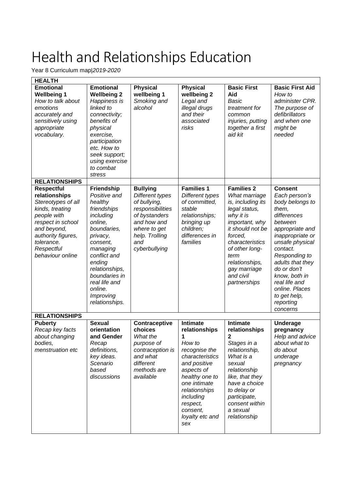Year 8 Curriculum map|*2019-2020*

| <b>HEALTH</b>                                                                                                                                                                                        |                                                                                                                                                                                                                                                         |                                                                                                                                                                  |                                                                                                                                                                                                                              |                                                                                                                                                                                                                                                    |                                                                                                                                                                                                                                                                                                              |
|------------------------------------------------------------------------------------------------------------------------------------------------------------------------------------------------------|---------------------------------------------------------------------------------------------------------------------------------------------------------------------------------------------------------------------------------------------------------|------------------------------------------------------------------------------------------------------------------------------------------------------------------|------------------------------------------------------------------------------------------------------------------------------------------------------------------------------------------------------------------------------|----------------------------------------------------------------------------------------------------------------------------------------------------------------------------------------------------------------------------------------------------|--------------------------------------------------------------------------------------------------------------------------------------------------------------------------------------------------------------------------------------------------------------------------------------------------------------|
| <b>Emotional</b><br><b>Wellbeing 1</b><br>How to talk about<br>emotions<br>accurately and<br>sensitively using<br>appropriate<br>vocabulary.                                                         | <b>Emotional</b><br><b>Wellbeing 2</b><br>Happiness is<br>linked to<br>connectivity;<br>benefits of<br>physical<br>exercise,<br>participation<br>etc. How to<br>seek support;<br>using exercise<br>to combat<br>stress                                  | <b>Physical</b><br>wellbeing 1<br>Smoking and<br>alcohol                                                                                                         | <b>Physical</b><br>wellbeing 2<br>Legal and<br>illegal drugs<br>and their<br>associated<br>risks                                                                                                                             | <b>Basic First</b><br>Aid<br>Basic<br>treatment for<br>common<br>injuries, putting<br>together a first<br>aid kit                                                                                                                                  | <b>Basic First Aid</b><br>How to<br>administer CPR.<br>The purpose of<br>defibrillators<br>and when one<br>might be<br>needed                                                                                                                                                                                |
| <b>RELATIONSHIPS</b>                                                                                                                                                                                 |                                                                                                                                                                                                                                                         |                                                                                                                                                                  |                                                                                                                                                                                                                              |                                                                                                                                                                                                                                                    |                                                                                                                                                                                                                                                                                                              |
| <b>Respectful</b><br>relationships<br>Stereotypes of all<br>kinds, treating<br>people with<br>respect in school<br>and beyond,<br>authority figures,<br>tolerance.<br>Respectful<br>behaviour online | Friendship<br>Positive and<br>healthy<br>friendships<br>including<br>online,<br>boundaries,<br>privacy,<br>consent,<br>managing<br>conflict and<br>ending<br>relationships,<br>boundaries in<br>real life and<br>online.<br>Improving<br>relationships. | <b>Bullying</b><br>Different types<br>of bullying,<br>responsibilities<br>of bystanders<br>and how and<br>where to get<br>help. Trolling<br>and<br>cyberbullying | <b>Families 1</b><br>Different types<br>of committed,<br>stable<br>relationships;<br>bringing up<br>children;<br>differences in<br>families                                                                                  | <b>Families 2</b><br>What marriage<br>is, including its<br>legal status,<br>why it is<br>important, why<br>it should not be<br>forced,<br>characteristics<br>of other long-<br>term<br>relationships,<br>gay marriage<br>and civil<br>partnerships | <b>Consent</b><br>Each person's<br>body belongs to<br>them,<br>differences<br>between<br>appropriate and<br>inappropriate or<br>unsafe physical<br>contact.<br>Responding to<br>adults that they<br>do or don't<br>know, both in<br>real life and<br>online. Places<br>to get help,<br>reporting<br>concerns |
| <b>RELATIONSHIPS</b>                                                                                                                                                                                 |                                                                                                                                                                                                                                                         |                                                                                                                                                                  |                                                                                                                                                                                                                              |                                                                                                                                                                                                                                                    |                                                                                                                                                                                                                                                                                                              |
| <b>Puberty</b><br>Recap key facts<br>about changing<br>bodies,<br>menstruation etc                                                                                                                   | <b>Sexual</b><br>orientation<br>and Gender<br>Recap<br>definitions,<br>key ideas.<br>Scenario<br>based<br>discussions                                                                                                                                   | Contraceptive<br>choices<br>What the<br>purpose of<br>contraception is<br>and what<br>different<br>methods are<br>available                                      | Intimate<br>relationships<br>1<br>How to<br>recognise the<br>characteristics<br>and positive<br>aspects of<br>healthy one to<br>one intimate<br>relationships<br>including<br>respect,<br>consent,<br>loyalty etc and<br>sex | <b>Intimate</b><br>relationships<br>2<br>Stages in a<br>relationship,<br>What is a<br>sexual<br>relationship<br>like, that they<br>have a choice<br>to delay or<br>participate,<br>consent within<br>a sexual<br>relationship                      | Underage<br>pregnancy<br>Help and advice<br>about what to<br>do about<br>underage<br>pregnancy                                                                                                                                                                                                               |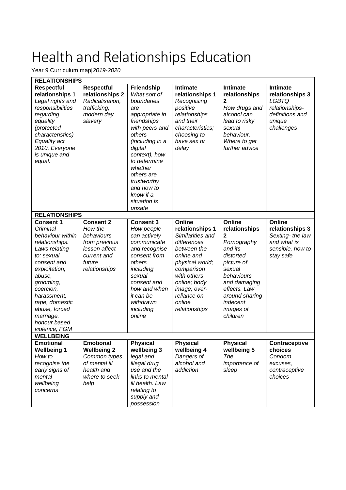Year 9 Curriculum map|*2019-2020*

| <b>RELATIONSHIPS</b>                                                                                                                                                                                                                                                  |                                                                                                                       |                                                                                                                                                                                                                                                                                 |                                                                                                                                                                                                                     |                                                                                                                                                                                                  |                                                                                                   |  |
|-----------------------------------------------------------------------------------------------------------------------------------------------------------------------------------------------------------------------------------------------------------------------|-----------------------------------------------------------------------------------------------------------------------|---------------------------------------------------------------------------------------------------------------------------------------------------------------------------------------------------------------------------------------------------------------------------------|---------------------------------------------------------------------------------------------------------------------------------------------------------------------------------------------------------------------|--------------------------------------------------------------------------------------------------------------------------------------------------------------------------------------------------|---------------------------------------------------------------------------------------------------|--|
| <b>Respectful</b><br>relationships 1<br>Legal rights and<br>responsibilities<br>regarding<br>equality<br>(protected<br>characteristics)<br>Equality act<br>2010. Everyone<br>is unique and<br>equal.                                                                  | <b>Respectful</b><br>relationships 2<br>Radicalisation,<br>trafficking,<br>modern day<br>slavery                      | <b>Friendship</b><br>What sort of<br>boundaries<br>are<br>appropriate in<br>friendships<br>with peers and<br>others<br>(including in a<br>digital<br>context), how<br>to determine<br>whether<br>others are<br>trustworthy<br>and how to<br>know if a<br>situation is<br>unsafe | <b>Intimate</b><br>relationships 1<br>Recognising<br>positive<br>relationships<br>and their<br>characteristics;<br>choosing to<br>have sex or<br>delay                                                              | <b>Intimate</b><br>relationships<br>2<br>How drugs and<br>alcohol can<br>lead to risky<br>sexual<br>behaviour.<br>Where to get<br>further advice                                                 | Intimate<br>relationships 3<br>LGBTQ<br>relationships-<br>definitions and<br>unique<br>challenges |  |
| <b>RELATIONSHIPS</b>                                                                                                                                                                                                                                                  |                                                                                                                       |                                                                                                                                                                                                                                                                                 |                                                                                                                                                                                                                     |                                                                                                                                                                                                  |                                                                                                   |  |
| <b>Consent 1</b><br>Criminal<br>behaviour within<br>relationships.<br>Laws relating<br>to: sexual<br>consent and<br>exploitation,<br>abuse,<br>grooming,<br>coercion,<br>harassment,<br>rape, domestic<br>abuse, forced<br>marriage,<br>honour based<br>violence, FGM | <b>Consent 2</b><br>How the<br>behaviours<br>from previous<br>lesson affect<br>current and<br>future<br>relationships | <b>Consent 3</b><br>How people<br>can actively<br>communicate<br>and recognise<br>consent from<br>others<br>including<br>sexual<br>consent and<br>how and when<br>it can be<br>withdrawn<br>including<br>online                                                                 | Online<br>relationships 1<br>Similarities and<br>differences<br>between the<br>online and<br>physical world;<br>comparison<br>with others<br>online; body<br>image; over-<br>reliance on<br>online<br>relationships | Online<br>relationships<br>2<br>Pornography<br>and its<br>distorted<br>picture of<br>sexual<br>behaviours<br>and damaging<br>effects. Law<br>around sharing<br>indecent<br>images of<br>children | Online<br>relationships 3<br>Sexting-the law<br>and what is<br>sensible, how to<br>stay safe      |  |
| <b>WELLBEING</b>                                                                                                                                                                                                                                                      |                                                                                                                       |                                                                                                                                                                                                                                                                                 |                                                                                                                                                                                                                     |                                                                                                                                                                                                  |                                                                                                   |  |
| <b>Emotional</b><br><b>Wellbeing 1</b><br>How to<br>recognise the<br>early signs of<br>mental<br>wellbeing<br>concerns                                                                                                                                                | <b>Emotional</b><br><b>Wellbeing 2</b><br>Common types<br>of mental ill<br>health and<br>where to seek<br>help        | <b>Physical</b><br>wellbeing 3<br>legal and<br>illegal drug<br>use and the<br>links to mental<br>ill health. Law<br>relating to<br>supply and<br>possession                                                                                                                     | <b>Physical</b><br>wellbeing 4<br>Dangers of<br>alcohol and<br>addiction                                                                                                                                            | <b>Physical</b><br>wellbeing 5<br>The<br>importance of<br>sleep                                                                                                                                  | Contraceptive<br>choices<br>Condom<br>excuses,<br>contraceptive<br>choices                        |  |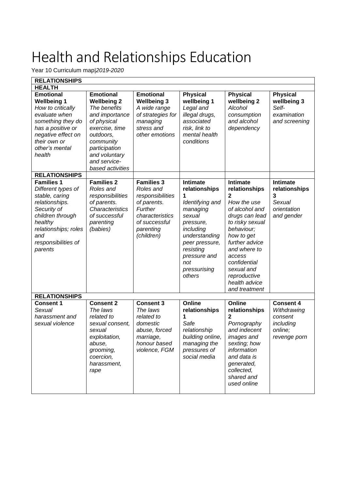Year 10 Curriculum map|*2019-2020*

| <b>RELATIONSHIPS</b>                                                                                                                                                                       |                                                                                                                                                                                                           |                                                                                                                                             |                                                                                                                                                                                                           |                                                                                                                                                                                                                                                              |                                                                                    |
|--------------------------------------------------------------------------------------------------------------------------------------------------------------------------------------------|-----------------------------------------------------------------------------------------------------------------------------------------------------------------------------------------------------------|---------------------------------------------------------------------------------------------------------------------------------------------|-----------------------------------------------------------------------------------------------------------------------------------------------------------------------------------------------------------|--------------------------------------------------------------------------------------------------------------------------------------------------------------------------------------------------------------------------------------------------------------|------------------------------------------------------------------------------------|
| <b>HEALTH</b>                                                                                                                                                                              |                                                                                                                                                                                                           |                                                                                                                                             |                                                                                                                                                                                                           |                                                                                                                                                                                                                                                              |                                                                                    |
| <b>Emotional</b><br><b>Wellbeing 1</b><br>How to critically<br>evaluate when<br>something they do<br>has a positive or<br>negative effect on<br>their own or<br>other's mental<br>health   | <b>Emotional</b><br><b>Wellbeing 2</b><br>The benefits<br>and importance<br>of physical<br>exercise, time<br>outdoors,<br>community<br>participation<br>and voluntary<br>and service-<br>based activities | <b>Emotional</b><br><b>Wellbeing 3</b><br>A wide range<br>of strategies for<br>managing<br>stress and<br>other emotions                     | <b>Physical</b><br>wellbeing 1<br>Legal and<br>illegal drugs,<br>associated<br>risk, link to<br>mental health<br>conditions                                                                               | <b>Physical</b><br>wellbeing 2<br>Alcohol<br>consumption<br>and alcohol<br>dependency                                                                                                                                                                        | <b>Physical</b><br>wellbeing 3<br>Self-<br>examination<br>and screening            |
| <b>RELATIONSHIPS</b>                                                                                                                                                                       |                                                                                                                                                                                                           |                                                                                                                                             |                                                                                                                                                                                                           |                                                                                                                                                                                                                                                              |                                                                                    |
| <b>Families 1</b><br>Different types of<br>stable, caring<br>relationships.<br>Security of<br>children through<br>healthy<br>relationships; roles<br>and<br>responsibilities of<br>parents | <b>Families 2</b><br>Roles and<br>responsibilities<br>of parents.<br>Characteristics<br>of successful<br>parenting<br>(babies)                                                                            | <b>Families 3</b><br>Roles and<br>responsibilities<br>of parents.<br>Further<br>characteristics<br>of successful<br>parenting<br>(children) | <b>Intimate</b><br>relationships<br>1<br>Identifying and<br>managing<br>sexual<br>pressure,<br>including<br>understanding<br>peer pressure,<br>resisting<br>pressure and<br>not<br>pressurising<br>others | Intimate<br>relationships<br>2<br>How the use<br>of alcohol and<br>drugs can lead<br>to risky sexual<br>behaviour;<br>how to get<br>further advice<br>and where to<br>access<br>confidential<br>sexual and<br>reproductive<br>health advice<br>and treatment | <b>Intimate</b><br>relationships<br>3<br>Sexual<br>orientation<br>and gender       |
| <b>RELATIONSHIPS</b>                                                                                                                                                                       |                                                                                                                                                                                                           |                                                                                                                                             |                                                                                                                                                                                                           |                                                                                                                                                                                                                                                              |                                                                                    |
| <b>Consent 1</b><br>Sexual<br>harassment and<br>sexual violence                                                                                                                            | <b>Consent 2</b><br>The laws<br>related to<br>sexual consent,<br>sexual<br>exploitation,<br>abuse,<br>grooming,<br>coercion,<br>harassment,<br>rape                                                       | <b>Consent 3</b><br>The laws<br>related to<br>domestic<br>abuse, forced<br>marriage,<br>honour based<br>violence, FGM                       | Online<br>relationships<br>1<br>Safe<br>relationship<br>building online,<br>managing the<br>pressures of<br>social media                                                                                  | Online<br>relationships<br>2<br>Pornography<br>and indecent<br>images and<br>sexting; how<br>information<br>and data is<br>generated,<br>collected,<br>shared and<br>used online                                                                             | <b>Consent 4</b><br>Withdrawing<br>consent<br>including<br>online;<br>revenge porn |